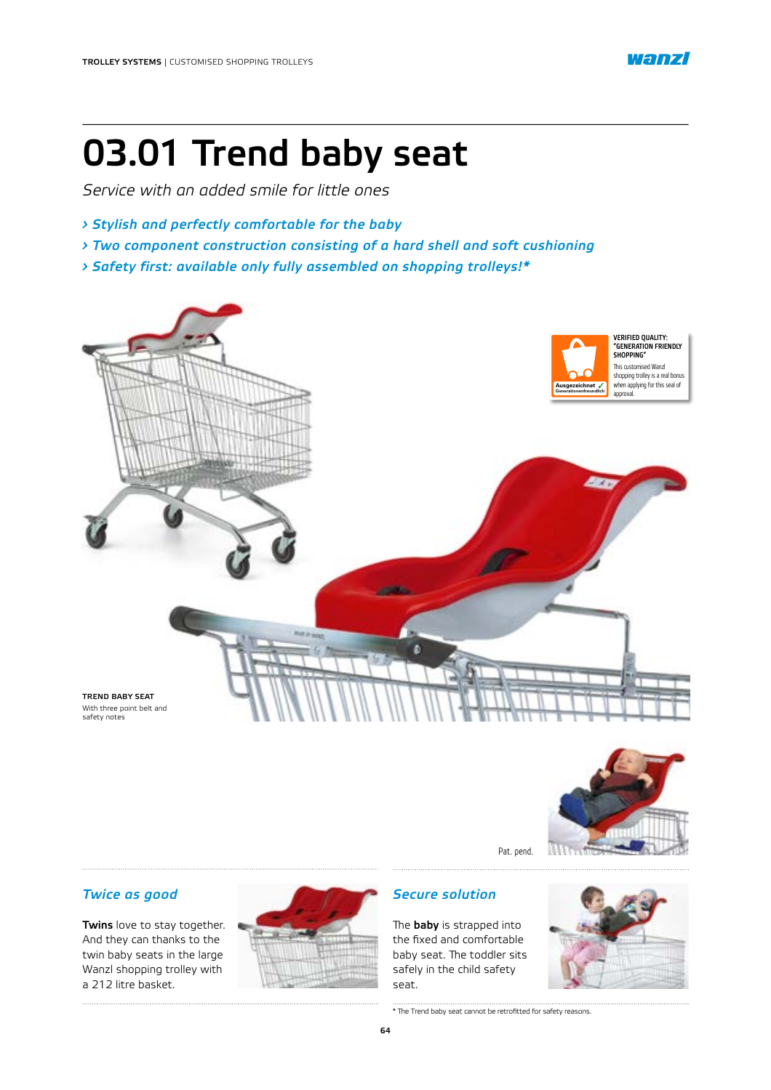

# 03.01 Trend baby seat

*Service with an added smile for little ones*

- *› Stylish and perfectly comfortable for the baby*
- *› Two component construction consisting of a hard shell and soft cushioning*
- *› Safety first: available only fully assembled on shopping trolleys!\**



safety notes



Pat. pend.

### *Twice as good*

Twins love to stay together. And they can thanks to the twin baby seats in the large Wanzl shopping trolley with a 212 litre basket.



### *Secure solution*

The **baby** is strapped into the fixed and comfortable baby seat. The toddler sits safely in the child safety seat.



\* The Trend baby seat cannot be retrofitted for safety reasons.